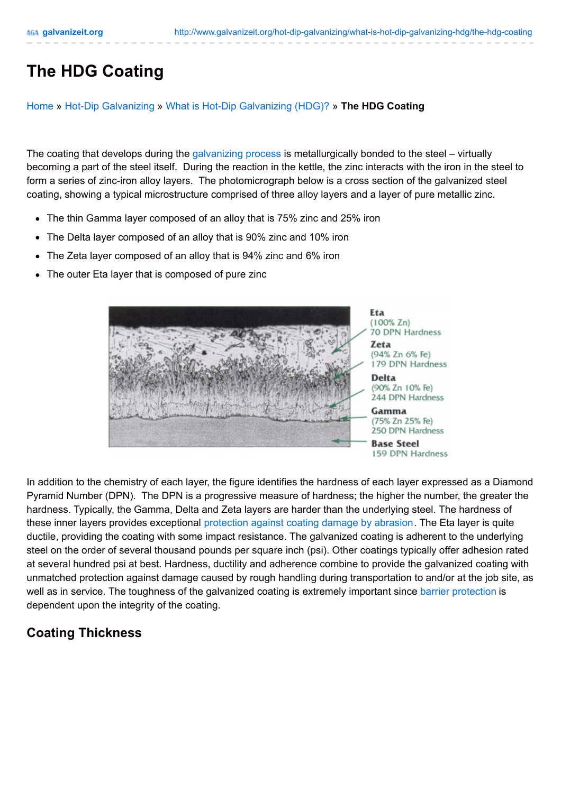## **The HDG Coating**

[Home](http://www.galvanizeit.org/) » Hot-Dip [Galvanizing](http://www.galvanizeit.org/hot-dip-galvanizing/) » What is Hot-Dip [Galvanizing](http://www.galvanizeit.org/hot-dip-galvanizing/what-is-hot-dip-galvanizing-hdg/) (HDG)? » **The HDG Coating**

The coating that develops during the [galvanizing](http://galvanizeit.org/hot-dip-galvanizing/what-is-hot-dip-galvanizing-hdg/hdg-process/) process is metallurgically bonded to the steel – virtually becoming a part of the steel itself. During the reaction in the kettle, the zinc interacts with the iron in the steel to form a series of zinc-iron alloy layers. The photomicrograph below is a cross section of the galvanized steel coating, showing a typical microstructure comprised of three alloy layers and a layer of pure metallic zinc.

- The thin Gamma layer composed of an alloy that is 75% zinc and 25% iron
- The Delta layer composed of an alloy that is 90% zinc and 10% iron
- The Zeta layer composed of an alloy that is 94% zinc and 6% iron
- The outer Eta layer that is composed of pure zinc



In addition to the chemistry of each layer, the figure identifies the hardness of each layer expressed as a Diamond Pyramid Number (DPN). The DPN is a progressive measure of hardness; the higher the number, the greater the hardness. Typically, the Gamma, Delta and Zeta layers are harder than the underlying steel. The hardness of these inner layers provides exceptional [protection](http://www.galvanizeit.org/hot-dip-galvanizing/why-specify-galvanizing/durability) against coating damage by abrasion. The Eta layer is quite ductile, providing the coating with some impact resistance. The galvanized coating is adherent to the underlying steel on the order of several thousand pounds per square inch (psi). Other coatings typically offer adhesion rated at several hundred psi at best. Hardness, ductility and adherence combine to provide the galvanized coating with unmatched protection against damage caused by rough handling during transportation to and/or at the job site, as well as in service. The toughness of the galvanized coating is extremely important since barrier [protection](http://galvanizeit.org/hot-dip-galvanizing/why-specify-galvanizing/corrosion-protection/) is dependent upon the integrity of the coating.

## **Coating Thickness**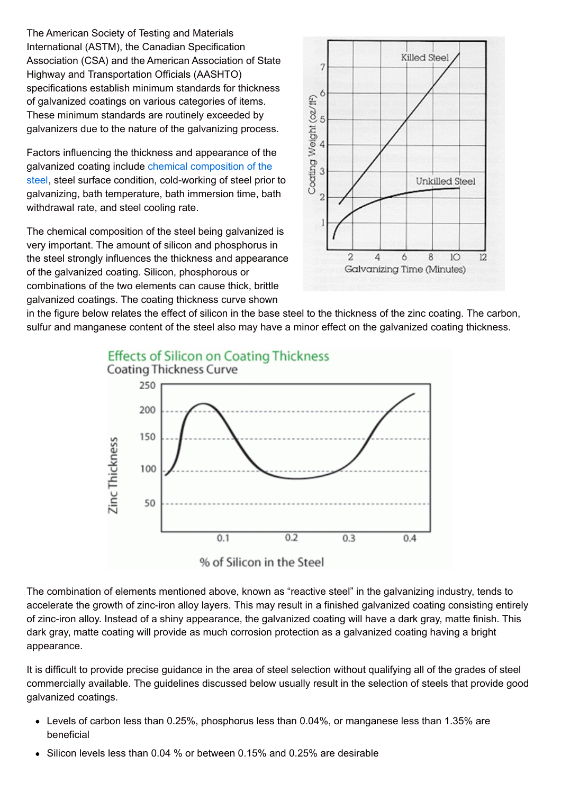The American Society of Testing and Materials International (ASTM), the Canadian Specification Association (CSA) and the American Association of State Highway and Transportation Officials (AASHTO) specifications establish minimum standards for thickness of galvanized coatings on various categories of items. These minimum standards are routinely exceeded by galvanizers due to the nature of the galvanizing process.

Factors influencing the thickness and appearance of the galvanized coating include chemical [composition](http://galvanizeit.org/design-and-fabrication/design-considerations/steel-selection/) of the steel, steel surface condition, cold-working of steel prior to galvanizing, bath temperature, bath immersion time, bath withdrawal rate, and steel cooling rate.

The chemical composition of the steel being galvanized is very important. The amount of silicon and phosphorus in the steel strongly influences the thickness and appearance of the galvanized coating. Silicon, phosphorous or combinations of the two elements can cause thick, brittle galvanized coatings. The coating thickness curve shown



in the figure below relates the effect of silicon in the base steel to the thickness of the zinc coating. The carbon, sulfur and manganese content of the steel also may have a minor effect on the galvanized coating thickness.



The combination of elements mentioned above, known as "reactive steel" in the galvanizing industry, tends to accelerate the growth of zinc-iron alloy layers. This may result in a finished galvanized coating consisting entirely of zinc-iron alloy. Instead of a shiny appearance, the galvanized coating will have a dark gray, matte finish. This dark gray, matte coating will provide as much corrosion protection as a galvanized coating having a bright appearance.

It is difficult to provide precise guidance in the area of steel selection without qualifying all of the grades of steel commercially available. The guidelines discussed below usually result in the selection of steels that provide good galvanized coatings.

- Levels of carbon less than 0.25%, phosphorus less than 0.04%, or manganese less than 1.35% are beneficial
- Silicon levels less than 0.04 % or between 0.15% and 0.25% are desirable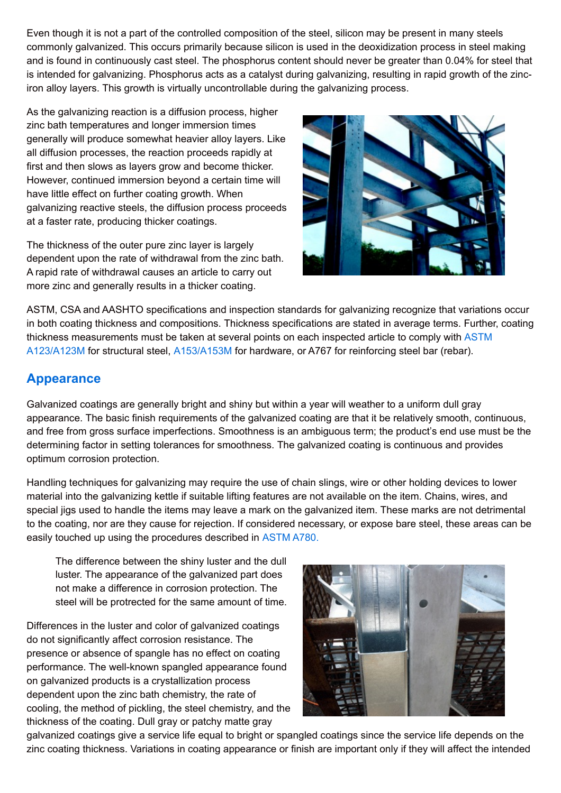Even though it is not a part of the controlled composition of the steel, silicon may be present in many steels commonly galvanized. This occurs primarily because silicon is used in the deoxidization process in steel making and is found in continuously cast steel. The phosphorus content should never be greater than 0.04% for steel that is intended for galvanizing. Phosphorus acts as a catalyst during galvanizing, resulting in rapid growth of the zinciron alloy layers. This growth is virtually uncontrollable during the galvanizing process.

As the galvanizing reaction is a diffusion process, higher zinc bath temperatures and longer immersion times generally will produce somewhat heavier alloy layers. Like all diffusion processes, the reaction proceeds rapidly at first and then slows as layers grow and become thicker. However, continued immersion beyond a certain time will have little effect on further coating growth. When galvanizing reactive steels, the diffusion process proceeds at a faster rate, producing thicker coatings.

The thickness of the outer pure zinc layer is largely dependent upon the rate of withdrawal from the zinc bath. A rapid rate of withdrawal causes an article to carry out more zinc and generally results in a thicker coating.



ASTM, CSA and AASHTO specifications and inspection standards for galvanizing recognize that variations occur in both coating thickness and compositions. Thickness specifications are stated in average terms. Further, coating thickness [measurements](http://www.galvanizeit.org/specification-and-inspection/hdg-specifications/astm-specs/#ASTMA123) must be taken at several points on each inspected article to comply with ASTM A123/A123M for structural steel, [A153/A153M](http://galvanizeit.org/specification-and-inspection/hdg-specifications/astm-specs/#ASTMA153) for hardware, or A767 for reinforcing steel bar (rebar).

## **Appearance**

Galvanized coatings are generally bright and shiny but within a year will weather to a uniform dull gray appearance. The basic finish requirements of the galvanized coating are that it be relatively smooth, continuous, and free from gross surface imperfections. Smoothness is an ambiguous term; the product's end use must be the determining factor in setting tolerances for smoothness. The galvanized coating is continuous and provides optimum corrosion protection.

Handling techniques for galvanizing may require the use of chain slings, wire or other holding devices to lower material into the galvanizing kettle if suitable lifting features are not available on the item. Chains, wires, and special jigs used to handle the items may leave a mark on the galvanized item. These marks are not detrimental to the coating, nor are they cause for rejection. If considered necessary, or expose bare steel, these areas can be easily touched up using the procedures described in [ASTM](http://galvanizeit.org/specification-and-inspection/hdg-specifications/astm-specs/#ASTMA780) A780.

The difference between the shiny luster and the dull luster. The appearance of the galvanized part does not make a difference in corrosion protection. The steel will be protrected for the same amount of time.

Differences in the luster and color of galvanized coatings do not significantly affect corrosion resistance. The presence or absence of spangle has no effect on coating performance. The well-known spangled appearance found on galvanized products is a crystallization process dependent upon the zinc bath chemistry, the rate of cooling, the method of pickling, the steel chemistry, and the thickness of the coating. Dull gray or patchy matte gray



galvanized coatings give a service life equal to bright or spangled coatings since the service life depends on the zinc coating thickness. Variations in coating appearance or finish are important only if they will affect the intended